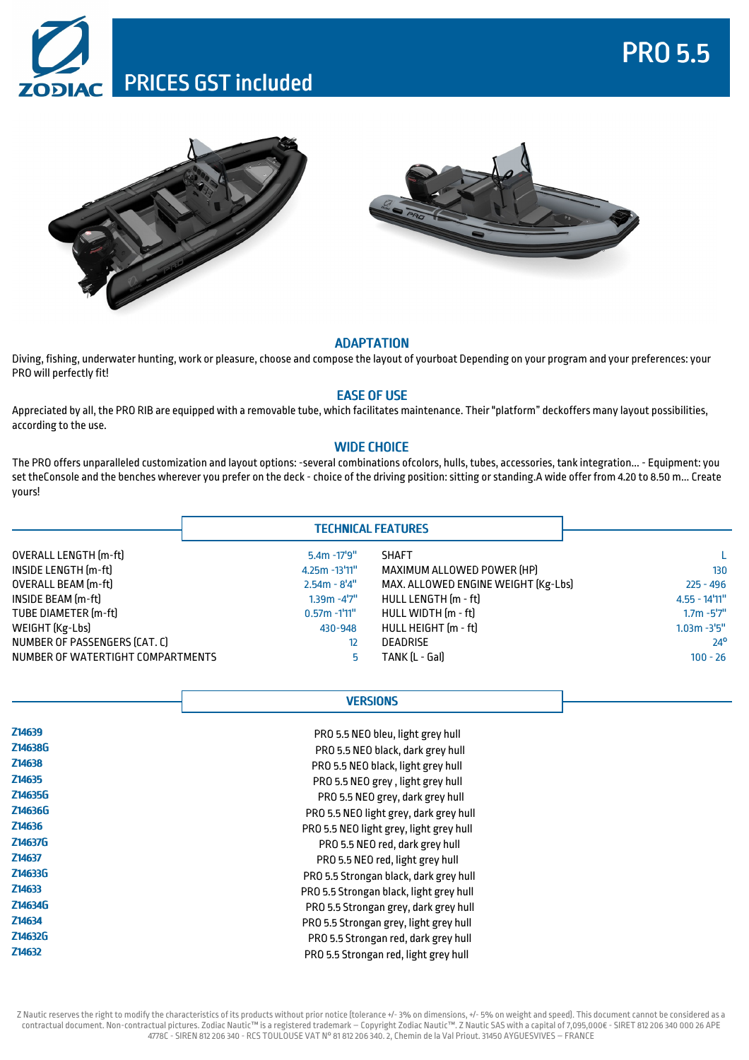# PRO 5.5







#### ADAPTATION

Diving, fishing, underwater hunting, work or pleasure, choose and compose the layout of yourboat Depending on your program and your preferences: your PRO will perfectly fit!

### EASE OF USE

Appreciated by all, the PRO RIB are equipped with a removable tube, which facilitates maintenance. Their "platform" deckoffers many layout possibilities, according to the use.

## WIDE CHOICE

The PRO offers unparalleled customization and layout options: -several combinations ofcolors, hulls, tubes, accessories, tank integration... - Equipment: you set theConsole and the benches wherever you prefer on the deck - choice of the driving position: sitting or standing.A wide offer from 4.20 to 8.50 m... Create yours!

|                                   |                   | <b>TECHNICAL FEATURES</b>           |                  |
|-----------------------------------|-------------------|-------------------------------------|------------------|
| OVERALL LENGTH [m-ft]             | $5.4m - 17'9''$   | <b>SHAFT</b>                        |                  |
| INSIDE LENGTH [m-ft]              | $4.25m - 13'11''$ | MAXIMUM ALLOWED POWER [HP]          | 130              |
| OVERALL BEAM [m-ft]               | $2.54m - 8'4''$   | MAX. ALLOWED ENGINE WEIGHT [Kg-Lbs] | $225 - 496$      |
| INSIDE BEAM [m-ft]                | $1.39m - 4'7''$   | HULL LENGTH [m - ft]                | $4.55 - 14'11''$ |
| TUBE DIAMETER [m-ft]              | $0.57m - 1'11''$  | HULL WIDTH [m - ft]                 | $1.7m - 5'7''$   |
| WEIGHT (Kg-Lbs)                   | 430-948           | HULL HEIGHT (m - ft)                | $1.03m - 3'5''$  |
| NUMBER OF PASSENGERS (CAT. C)     | 12                | <b>DEADRISE</b>                     | $24^{\circ}$     |
| NUMBER OF WATERTIGHT COMPARTMENTS | 5.                | TANK IL - Gall                      | $100 - 26$       |

### **VERSIONS**

| Z14639  | PRO 5.5 NEO bleu, light grey hull       |  |
|---------|-----------------------------------------|--|
| Z14638G | PRO 5.5 NEO black, dark grey hull       |  |
| Z14638  | PRO 5.5 NEO black, light grey hull      |  |
| Z14635  | PRO 5.5 NEO grey, light grey hull       |  |
| Z14635G | PRO 5.5 NEO grey, dark grey hull        |  |
| Z14636G | PRO 5.5 NEO light grey, dark grey hull  |  |
| Z14636  | PRO 5.5 NEO light grey, light grey hull |  |
| Z14637G | PRO 5.5 NEO red, dark grey hull         |  |
| Z14637  | PRO 5.5 NEO red, light grey hull        |  |
| Z14633G | PRO 5.5 Strongan black, dark grey hull  |  |
| Z14633  | PRO 5.5 Strongan black, light grey hull |  |
| Z14634G | PRO 5.5 Strongan grey, dark grey hull   |  |
| Z14634  | PRO 5.5 Strongan grey, light grey hull  |  |
| Z14632G | PRO 5.5 Strongan red, dark grey hull    |  |
| Z14632  | PRO 5.5 Strongan red, light grey hull   |  |

Z Nautic reserves the right to modify the characteristics of its products without prior notice (tolerance +/-3% on dimensions, +/-5% on weight and speed). This document cannot be considered as a contractual document. Non-contractual pictures. Zodiac Nautic™ is a registered trademark – Copyright Zodiac Nautic™. Z Nautic SAS with a capital of7,095,000€ - SIRET 812206 340 000 26 APE 4778C - SIREN 812206 340 - RCS TOULOUSE VAT N° 81 812206 340.2, Chemin de la Val Priout.31450 AYGUESVIVES – FRANCE